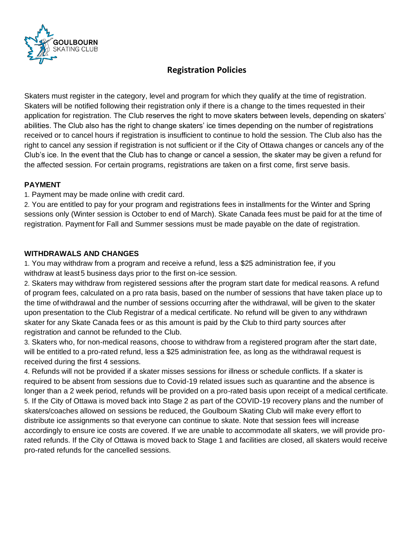

# **Registration Policies**

Skaters must register in the category, level and program for which they qualify at the time of registration. Skaters will be notified following their registration only if there is a change to the times requested in their application for registration. The Club reserves the right to move skaters between levels, depending on skaters' abilities. The Club also has the right to change skaters' ice times depending on the number of registrations received or to cancel hours if registration is insufficient to continue to hold the session. The Club also has the right to cancel any session if registration is not sufficient or if the City of Ottawa changes or cancels any of the Club's ice. In the event that the Club has to change or cancel a session, the skater may be given a refund for the affected session. For certain programs, registrations are taken on a first come, first serve basis.

#### **PAYMENT**

1. Payment may be made online with credit card.

2. You are entitled to pay for your program and registrations fees in installments for the Winter and Spring sessions only (Winter session is October to end of March). Skate Canada fees must be paid for at the time of registration. Payment for Fall and Summer sessions must be made payable on the date of registration.

## **WITHDRAWALS AND CHANGES**

1. You may withdraw from a program and receive a refund, less a \$25 administration fee, if you withdraw at least 5 business days prior to the first on-ice session.

2. Skaters may withdraw from registered sessions after the program start date for medical reasons. A refund of program fees, calculated on a pro rata basis, based on the number of sessions that have taken place up to the time of withdrawal and the number of sessions occurring after the withdrawal, will be given to the skater upon presentation to the Club Registrar of a medical certificate. No refund will be given to any withdrawn skater for any Skate Canada fees or as this amount is paid by the Club to third party sources after registration and cannot be refunded to the Club.

3. Skaters who, for non-medical reasons, choose to withdraw from a registered program after the start date, will be entitled to a pro-rated refund, less a \$25 administration fee, as long as the withdrawal request is received during the first 4 sessions.

4. Refunds will not be provided if a skater misses sessions for illness or schedule conflicts. If a skater is required to be absent from sessions due to Covid-19 related issues such as quarantine and the absence is longer than a 2 week period, refunds will be provided on a pro-rated basis upon receipt of a medical certificate. 5. If the City of Ottawa is moved back into Stage 2 as part of the COVID-19 recovery plans and the number of skaters/coaches allowed on sessions be reduced, the Goulbourn Skating Club will make every effort to distribute ice assignments so that everyone can continue to skate. Note that session fees will increase accordingly to ensure ice costs are covered. If we are unable to accommodate all skaters, we will provide prorated refunds. If the City of Ottawa is moved back to Stage 1 and facilities are closed, all skaters would receive pro-rated refunds for the cancelled sessions.